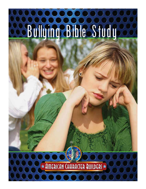# **D Bullying Bible Study**

\* JULEU (UN CHURACLER BUILDER)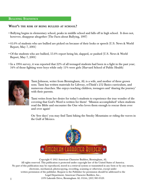#### **BULLYING STATISTICS**

#### WHAT'S THE RISK OF BEING BULLIED AT SCHOOL?

- Bullying begins in elementary school, peaks in middle school and falls off in high school. It does not, however, disappear altogether (The Facts about Bullying, 1997)
- 61.6% of students who are bullied are picked on because of their looks or speech (U.S. News & World Report, May 7, 2001)
- Of the students who are bullied, 55.6% report being hit, slapped, or pushed (U.S. News & World Report, May 7, 2001)
- In a 1994 survey, it was reported that 22% of all teenaged students had been in a fight in the past year; 34% of those fighting were boys while only 11% were girls (Harvard School of Public Health)



Tami Johnson, writer from Birmingham, AL is a wife, and mother of three grown sons. Tami has written materials for Lifeway, reThink's 252 Basics curriculum, and numerous churches. She enjoys teaching children, teenagers and 'sharing the journey' with their parents.

Tami writes from her desire for today's students to experience the true wonder of discovering that God's Word is written for them! 'Mission accomplished' when students read the Bible and encounter the One who loves them enough to rescue them over and over again!

 On 'free days' you may find Tami hiking the Smoky Mountains or riding the waves in the Gulf of Mexico.



Copyright © 2012 American Character Builders, Birmingham, AL All rights reserved. This publication is protected under copyright law of the United States of America. No part of this publication may be reproduced, stored in a retrieval system or transmitted in any form or by any means, electronic, mechanical, photocopying, recording, scanning or otherwise, except under written permission of the publisher. Request to the Publisher for permission should be addressed to the Legal Department, American Character Builders, Inc., 2376 Lakeside Drive, Birmingham AL 35244, (205) 985-9529.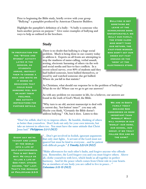Prior to beginning the Bible study, briefly review with your group "Bullying"- a pamphlet produced by American Character Builders.

Highlight the pamphlet's definition of a bully: "A bully is someone who hurts another person on purpose." Give some examples of bullying and ways to help as outlined in the brochure.

#### Study

In preparation for the "Sticks and **STONES" ACTIVITY** later in the session, as **STUDENTS** arrive, instruct them to choose a rock and write on it words or behaviors that could make someone feel bad **OR HURT THEIR** feelings. **SEE ACTIVITY** instructions for further details.

There is no doubt that bullying is a huge social problem. Much is being done in our country today to address it. Experts on all fronts are attempting to stop the madness of name-calling, verbal assault, sexting, electronic harassing of others via the web and social media and face-to-face conflicts. In a recent school survey, over 80% of students said they had bullied someone, been bullied themselves, or stood by and watched someone else get bullied. Where do *you* fall in that statistic?

Bullying is not SOMETHING WE leave at the SCHOOLHOUSE DOOR. Unfortunately, we bully our family, the store clerk who won't take our return, the fast-food worker who didn't get our order out fast enough or the 'geek' at the electronics store.

As Christians, what should our response be to the problem of bullying? What do we do? Where can we go to get our answers?

As with any problem we encounter in life, for a believer, our answers are found in the truth of God's Word, the Bible.

"Why turn to an old, ancient manuscript to deal with a current day, 'hot-button' issue?" you may ask. Maybe you think, "Certainly the Bible doesn't address bullying." Oh, but it does. Listen to this:

"Don't be selfish; don't try to impress others. Be humble, thinking of others as better than yourselves. Don't look out only for your own interests, but take an interest in others too. You must have the same attitude that Christ Jesus had." *Philippians 2:3-5 (NLT)*

taught and lured **BY THE WORLD** into a life of self-centeredness. THIS IS NOT GOD'S way. He calls us to live a life of God first, others second, "me" last. That's the message of Philippians 2:3-5

"…Don't get involved in foolish, ignorant arguments EVERY DAY WE'RE that only start fights. A servant of the Lord must not **THE SAME?** quarrel but must be kind to everyone…and be patient with difficult people." *2 Timothy 2:23-24 (NLT)*

> "Make allowances for each other's faults, and forgive anyone who offends you. Remember, the Lord forgave you and you must forgive others. Above all, clothe yourselves with love, which binds us all together in perfect harmony. And let the peace which comes from Christ rule in your hearts. For as members of one body you are called to live in peace... " *Colossians 3:13-15 (NLT)*

We are in God's family today because God considered us more important than Himself! What will happen in our 'world'- our home, our school, our group, if we truly follow Him and do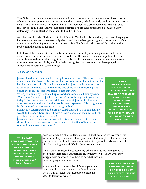The Bible has *much* to say about how we should treat one another. Obviously, God knew treating others as more important than ourselves would not be easy. God saw early on, how our evil hearts would treat someone who is different than us. Remember the story of Cain and Abel? (Genesis 4) Jealousy crept into that family relationship because two brothers approached a situation very differently. So one attacked the other. It didn't end well.

As followers of Christ, God calls us to be different. We live in this mixed-up, crazy world, trying to figure out who we are, who everybody else is, and how to best get along with one another. Often times we struggle to figure this out on our own. But God has already spoken His truth into this problem in the pages of the Bible.

Let's look at three incidents from the New Testament that will give us insight into what Christ expects of every believer as we encounter people that He created to walk alongside us here on earth. Listen to these stories straight out of the Bible. If you change the names and maybe tweak the circumstances just a little, you'll probably recognize that these scenarios have played out somewhere in your own surroundings.

#### *1. Luke 19:1-10 (NLT)*

Jesus entered Jericho and made his way through the town. There was a man there named Zacchaeus. He was the chief tax collector in the region, and he had become very rich. He tried to get a look at Jesus, but he was too short to see over the crowd. So he ran ahead and climbed a sycamore-fig tree beside the road, for Jesus was going to pass that way.

When Jesus came by, he looked up at Zacchaeus and called him by name. "Zacchaeus!" he said. "Quick, come down! I must be a guest in your home today." Zacchaeus quickly climbed down and took Jesus to his house in great excitement and joy. But the people were displeased. "He has gone to be the guest of a notorious sinner," they grumbled.

Meanwhile, Zacchaeus stood before the Lord and said, "I will give half my wealth to the poor, Lord, and if I have cheated people on their taxes, I will give them back four times as much!"

Jesus responded, "Salvation has come to this home today, for this man has shown himself to be a true son of Abraham. For the Son of Man came to seek and save those who are lost."

WE MAY not understand someone or like how they look. We may not approve of WHAT THEY'RE doing or how they're living, but when we realize how much God loves them, we can begin to love them too.

"The lower value we attach to people, the easier WE CAN 'JUSTIFY' dishonoring them with our words or treating them with disrespect." - GARY SMALLEY STOP AND PRAY FOR

Zacchaeus was a dishonest tax collector– a thief despised by everyone who knew him. But Jesus noticed him. Jesus accepted him. Jesus knew his name. Jesus was even willing to have dinner with him. Jesus' friends made fun of him for hanging out with 'Zach'. Jesus went anyway.

If we would just begin here, accepting others as Jesus did, taking time to even know their name and perhaps enter their world to learn what they struggle with or what drives them to do what they do, most bullying would never occur.

Are you willing to accept the 'different' person at your school– to hang out with the 'social outcasts'– even if it may make you susceptible to ridicule *yourself*? Jesus was willing.

someone you need to accept so you can offer them the love of Christ.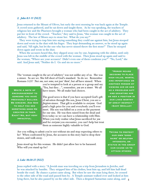#### *2. John 8:1-11 (NLT)*

Jesus returned to the Mount of Olives, but early the next morning he was back again at the Temple. A crowd soon gathered, and he sat down and taught them. As he was speaking, the teachers of religious law and the Pharisees brought a woman who had been caught in the act of adultery. They put her in front of the crowd. "Teacher," they said to Jesus, "this woman was caught in the act of adultery. The law of Moses says to stone her. What do you say?"

 They were trying to trap him into saying something they could use against him, but Jesus stooped down and wrote in the dust with his finger. They kept demanding an answer, so he stood up again and said, "All right, but let the one who has never sinned throw the first stone!" Then he stooped down again and wrote in the dust.

 When the accusers heard this, they slipped away one by one, beginning with the oldest, until only Jesus was left in the middle of the crowd with the woman. Then Jesus stood up again and said to the woman, "Where are your accusers? Didn't even one of them condemn you?" "No, Lord," she said. And Jesus said, "Neither do I. Go and sin no more."

The 'woman caught in the act of adultery' was not unlike any of us. She was a sinner. So are we. She fell short of God's standard. So do we. Remember Romans 3:23? Not *one*, not *some*, not just '*them*', but *all* have sinned. When

WRITE A NOTE OF encouragement to someone you have previously bullied. Be sincere. Ask God to help you see SOMETHING GOOD HE created in them. Easy? No, but very **IMPACTFUL.** 

you're tempted to look at a person or a group and say "Yea, but they…", remember, *you are a sinner*. We all have issues. We all make bad choices.

The good news is that if you have accepted God's gift of salvation through His son, Jesus Christ, you are a *forgiven* sinner. That gift is available to *everyone*. God paid a high price for you and everybody you'll ever meet. His son was killed on a cross as the payment for our sins. He was then raised from the dead and lives today so we can have a relationship with Him. When you truly realize what Jesus sacrificed for *you* and for *everyone* you encounter, you can't help but treat them as someone highly valuable to God.

"Honor means deciding to place high value, worth, and importance on another person by viewing him or her as a priceless gift and granting him or her a position in our lives worthy of great respect." –Gary Smalley

Are you willing to admit you're not without sin and stop expecting others to be? When confronted by Jesus, the accusers in this story had to drop their stones, and walk away.

Jesus stood up for this woman. He didn't just allow her to be harassed. Who will you stand up for?

Trying to protect our own 'good name' or selfish interests, or **STATUS IN THE GROUP** can cause us to **ATTACK OTHERS.** 

#### *3. Luke 10:30-37 (NLT)*

Jesus replied with a story: "A Jewish man was traveling on a trip from Jerusalem to Jericho, and he was attacked by bandits. They stripped him of his clothes, beat him up, and left him half dead beside the road. By chance a priest came along. But when he saw the man lying there, he crossed to the other side of the road and passed him by. A Temple assistant walked over and looked at him lying there, but he also passed by on the other side. Then a despised Samaritan came along, and 4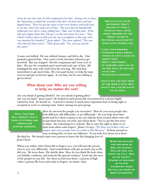when he saw the man, he felt compassion for him. Going over to him, the Samaritan soothed his wounds with olive oil and wine and bandaged them. Then he put the man on his own donkey and took him to an inn, where he took care of him. The next day he handed the innkeeper two silver coins, telling him, 'Take care of this man. If his bill runs higher than this, I'll pay you the next time I'm here.' Now which of these three would you say was a neighbor to the man who was attacked by bandits?" Jesus asked. The man replied, "The one who showed him mercy." Then Jesus said, "Yes, now go and do the same."

A man was bullied. He was robbed, beaten, and left to die. One passerby ignored him. One went to look, but then refused to get involved. But one stopped. He felt compassion and 'went over to him'. He saw the wounded man's need and took care of him. He bandaged the man with cloth from his own bag. He took him somewhere to get more help. He even paid money to help the man recover and get on his feet again. It cost him, but he was willing to get involved.

#### What about you? Who are you willing to help, no matter the cost?

GOD CALLS US TO BE different! Don't believe it? For a wake-up call, read Jesus' Sermon on the Mount found in Matthew, chapters 5-7. Jesus says things like:

- Love your enemies.
- Thinking about sinful things is just as bad as doing them.
- Don't love money.
- If someone asks you to go one mile, be willing to go two.
- Marriage is forever.

That's not the way most OF THE WORLD ACTS. BUT that's the life He calls us to lead.

Are you afraid of getting labeled? Are you afraid of getting dirty?

Are you too busy? Jesus wasn't. He looked at each person He encountered as a person highly valued by God. So should we. A person's eternity is much more important than us being right or accepted as 'cool' or winning some 'status' among our peer group.

**PRAY THAT GOD** WILL CONVICT YOU IF YOUR ATTITUDES AND speech are hurting someone.

How do *you* treat the people you encounter? How do you treat people who look different, talk differently, or act differently? Do you help meet their needs and love them to Jesus or do you ridicule them toward others who will accept them but may not truly care about them? You've got the best news to share– the redeeming love of Jesus! But to earn the right to share it, we must treat others with respect. James 3:9 says, "We bless our Father with our tongue and curse people who are made in His likeness." If those around us hear us doing this, we lose our influence. If you truly love Jesus, love those

He died for. We should want every person to know the life-changing love of Jesus Christ.

When you realize what Christ did to forgive you, you will treat the person next to you very differently. God created them with just as much care as He did you. He loves them. He *died for them*. How do you think He feels when you belittle, condemn, and mistreat His special creation? Look into the eyes of the people in your life. See them as God sees them– a person of high value; a person He loves and seeks to forgive, no matter what.

WHEN WE REALIZE the holiness of God, we quickly realize how far short we fall. Why DO WE EXPECT others to measure up to our 'standard' when we fall so short of God's standard?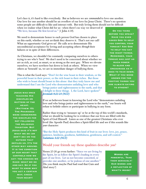Let's face it, it's hard to like everybody. But as believers we are *commanded* to love one another. Our love for one another should be an overflow of our love for Jesus Christ. There's no question some people are difficult to like and interact with. But truly loving them should not be difficult

when we realize what Christ did for us– when there's no way we deserved it! "We love, because He first loved us." (1 John 4:19).

We need to demonstrate honor to each person God has chosen to place on this earth, whether or not *we* think they deserve it. That's not our call! What an opportunity God gives us! He calls *us* to demonstrate His unconditional acceptance by loving and accepting others *through* their failures or in spite of their differences.

As Christians, we shouldn't be constantly comparing ourselves to otherstrying to see who's 'best'. We don't need to be concerned about whether we are as rich, as cool, as smart, or as strong as the next guy. When we elevate ourselves, we have nowhere but down to look at others. When we view others as 'beneath' us, we are in immediate danger of bullying them.

This is what the Lord says: "Don't let the wise boast in their wisdom, or the powerful boast in their power, or the rich boast in their riches. But those who wish to boast should boast in this alone: that they truly know me and understand that I am the Lord who demonstrates unfailing love and who

Jesus was once **TEACHING HIS** disciples on matters of the heart. (Matthew 15) The Pharisees were condemning the disciples for not following the religious tradition. But Jesus said it's not WHAT WE DO (OR DON'T DO) ON THE **OUTSIDE THAT** DEFILES US. IT'S THE other way around. IT IS THE CONDITION of our heart that controls how we act- the choices we make- what we do and say. So if you want to know why YOU ACT A CERTAIN WAY, CHECK YOUR HEART!

brings justice and righteousness to the earth, and that I delight in these things. I, the Lord, have spoken!" *Jeremiah 9:23-24 (NLT)*

If we as believers boast in knowing the Lord who "demonstrates unfailing love and who brings justice and righteousness to the earth," our hearts will refuse to belittle others or participate in bullying in any form.

Rather than trying to 'measure up' or be at the top of this world's standards, what we should be looking for is evidence that our lives are filled with the Spirit of God Himself. Listen as one of the greatest Christians who ever lived (the Apostle Paul) describes a Spirit-filled life and see if this sounds like *your* character:

"But the Holy Spirit produces this kind of fruit in our lives: love, joy, peace, patience, kindness, goodness, faithfulness, gentleness, and self control." *Galatians 5:22 (NLT)*

#### Would your friends say these qualities describe *you*?

Verses 25-26 go even further: "Since we are living by the Spirit, let us follow the Spirit's leading in every part of our lives. Let us not become conceited, or provoke one another, or be jealous of one another." (Do you think maybe Paul had read that Cain and Abel story?)

WORDS ARE powerful. Take them seriously! **OUR WORDS ARE** a reflection of WHAT'S INSIDE!

Do you think before you speak? Have you ever asked God to help YOU CONTROL YOUR tongue? Ask God **TO HELP YOU SAY** the right things. Remember, your tongue has just as much power to bless and encourage as it DOES TO TEAR DOWN. WHAT IF YOU WERE known for the positive things you are always saying **TO OTHERS?**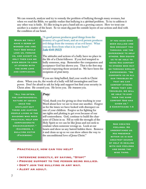We can research, analyze and try to remedy the problem of bullying through many avenues, but when we read the Bible, we quickly realize that bullying is a *spiritual* problem. To try to address it any other way is futile. It's like trying to put a band-aid on a growing cancer. How we treat one another is a matter of the heart. So we must dig past the outside layers of our actions and deal with the condition of our heart.

WHEN WE TRULY have a sense of wonder and awe **THAT GOD WOULD** LOVE US, FORGIVE us, and accept us, only then can we even begin to look at others with the same love and compassion.

"A good person produces good things from the treasury of a good heart, and an evil person produces evil things from the treasury of an evil heart. What you say flows from what is in your heart." *Luke 6:45 (NLT)*

The attitudes and actions of a bully have no place in the life of a Christ-follower. If you feel tempted to bully someone, stop. Remember the compassion and acceptance God has shown you. That is the first step toward respecting those around us. We have been the recipients of *great mercy*.

If you are *being* bullied, find your worth in Christ alone. When you do, the words of a bully will fall meaningless and lose power. Don't be afraid to ask for help and support but find your security in Christ *alone*. He created you. He loves you. He *treasures* you.

"All too often, the controversial nature of issues grab the spotlight-but there are hurting people living in the shadows who need practical help and **COMPASSIONATE** encouragement." -Chambers, a bullying victim (Facebook)

#### *Pray:*

"God, thank you for giving us clear teaching in your Word about how we are to treat one another. Forgive us for the times we have looked with disrespect on one of your children. Forgive us for fighting for *our* rights and plotting to get even because of our self-centeredness. God, continue to build the character of Christ in us. Fill us with the strength of the Holy Spirit so we can be like Jesus and not seek to retaliate when someone wrongs us. Look at our hearts and show us any hatred hidden there. Remove it and clean us up so we can show others the way to the unconditional love of Jesus Christ."

If you have ever been bullied and God brought you through, use the experience to help others. God equips us to be able to bring His comfort TO OTHERS WHO MAY go through similar experiences. "He comforts us in all our troubles so THAT WE CAN comfort others. When they are troubled, we will be able to give them the same comfort God has given us." 2 Corinthians 1:4

God created feelings. He understands us. His presence within us is our greatest source of help in dealing with our feelings and doing the wise thing.

#### Practically, how can you help?

- Intervene directly, by saying, "Stop!"
- Provide support to the person being bullied.
- Don't join the bullying in any way.
- Alert an adult.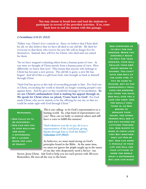You may choose to break here and lead the students to participate in several of the provided activities. If so, come back here to end the session with this passage.

#### *2 Corinthians 5:14-21: (NLT)*

"Either way, Christ's love controls us. Since we believe that Christ died for all, we also believe that we have all died to our old life. He died for everyone so that those who receive his new life will no longer live for themselves. Instead, they will live for Christ, who died and was raised for them.

"So we have stopped evaluating others from a human point of view. At one time we thought of Christ merely from a human point of view. How differently we know him now! This means that anyone who belongs to Christ has become a new person. The old life is gone; a new life has begun! And all of this is a gift from God, who brought us back to himself through Christ.

"And God has given us this task of reconciling people to him. For God was in Christ, reconciling the world to himself, no longer counting people's sins against them. And he gave us this wonderful message of reconciliation. So we are Christ's ambassadors; God is making his appeal through us. We speak for Christ when we plead, 'Come back to God!' For God made Christ, who never sinned, to be the offering for our sin, so that we could be made right with God through Christ."

#### Remember,

- God calls us to be different.
- God can use you to stop bullying and make a difference.
- Be a leader. Show the love of Christ.

*This* is our calling– to be God's representatives to a hurting world. So, what kind of representative are you? How can we bully or mistreat others and still have a voice to fulfill this mission?

"And whatever you do or say, do it as a representative of the Lord Jesus, giving thanks through him to God the Father." *Colossians 3:17 (NLT)*

As believers, we must stand strong on God's principles found in the Bible. At the same time, we must not ignore the *people* caught up in the issues of our day who desperately need a Savior– our

Savior, Jesus Christ. Ask God to help you see each person with *His* eyes. Remember, He sees all the way to the heart.

God commands us to pray for our enemies. When you sincerely begin to pray for your enemies, your will realize your own heart begins to change. You can't hate and pray at the same time. It may be hard to imagine, but as you consistently pray, even for someone you think you hate, GOD WILL GIVE YOU A love for them. And the really cool thing is, as God begins to reshape your heart, the other person will see it and may change his attitude towards you. God wants to work in their lives **TOO! BUT WHETHER** they let Him or not, God can work a miracle in your life and will use YOUR ATTITUDE TO show the world WHAT A DIFFERENCE His love can make!